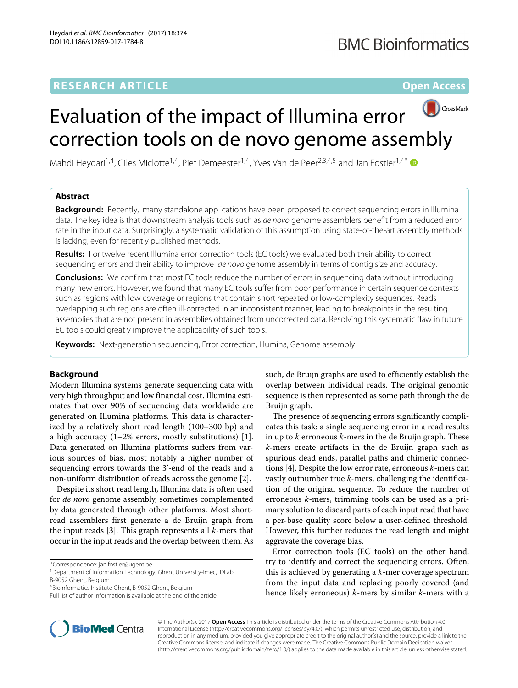## **RESEARCH ARTICLE Open Access**



# Evaluation of the impact of Illumina error correction tools on de novo genome assembly

Mahdi Heydari<sup>1,4</sup>, Giles Miclotte<sup>1,4</sup>, Piet Demeester<sup>1,4</sup>, Yves Van de Peer<sup>2,3,4,5</sup> and Jan Fostier<sup>1,4\*</sup>

## **Abstract**

**Background:** Recently, many standalone applications have been proposed to correct sequencing errors in Illumina data. The key idea is that downstream analysis tools such as de novo genome assemblers benefit from a reduced error rate in the input data. Surprisingly, a systematic validation of this assumption using state-of-the-art assembly methods is lacking, even for recently published methods.

**Results:** For twelve recent Illumina error correction tools (EC tools) we evaluated both their ability to correct sequencing errors and their ability to improve de novo genome assembly in terms of contig size and accuracy.

**Conclusions:** We confirm that most EC tools reduce the number of errors in sequencing data without introducing many new errors. However, we found that many EC tools suffer from poor performance in certain sequence contexts such as regions with low coverage or regions that contain short repeated or low-complexity sequences. Reads overlapping such regions are often ill-corrected in an inconsistent manner, leading to breakpoints in the resulting assemblies that are not present in assemblies obtained from uncorrected data. Resolving this systematic flaw in future EC tools could greatly improve the applicability of such tools.

**Keywords:** Next-generation sequencing, Error correction, Illumina, Genome assembly

## **Background**

Modern Illumina systems generate sequencing data with very high throughput and low financial cost. Illumina estimates that over 90% of sequencing data worldwide are generated on Illumina platforms. This data is characterized by a relatively short read length (100–300 bp) and a high accuracy (1–2% errors, mostly substitutions) [\[1\]](#page-11-0). Data generated on Illumina platforms suffers from various sources of bias, most notably a higher number of sequencing errors towards the 3'-end of the reads and a non-uniform distribution of reads across the genome [\[2\]](#page-11-1).

Despite its short read length, Illumina data is often used for *de novo* genome assembly, sometimes complemented by data generated through other platforms. Most shortread assemblers first generate a de Bruijn graph from the input reads [\[3\]](#page-11-2). This graph represents all *k*-mers that occur in the input reads and the overlap between them. As

such, de Bruijn graphs are used to efficiently establish the overlap between individual reads. The original genomic sequence is then represented as some path through the de Bruijn graph.

The presence of sequencing errors significantly complicates this task: a single sequencing error in a read results in up to *k* erroneous *k*-mers in the de Bruijn graph. These *k*-mers create artifacts in the de Bruijn graph such as spurious dead ends, parallel paths and chimeric connections [\[4\]](#page-11-3). Despite the low error rate, erroneous *k*-mers can vastly outnumber true *k*-mers, challenging the identification of the original sequence. To reduce the number of erroneous *k*-mers, trimming tools can be used as a primary solution to discard parts of each input read that have a per-base quality score below a user-defined threshold. However, this further reduces the read length and might aggravate the coverage bias.

Error correction tools (EC tools) on the other hand, try to identify and correct the sequencing errors. Often, this is achieved by generating a *k*-mer coverage spectrum from the input data and replacing poorly covered (and hence likely erroneous) *k*-mers by similar *k*-mers with a



© The Author(s). 2017 **Open Access** This article is distributed under the terms of the Creative Commons Attribution 4.0 International License [\(http://creativecommons.org/licenses/by/4.0/\)](http://creativecommons.org/licenses/by/4.0/), which permits unrestricted use, distribution, and reproduction in any medium, provided you give appropriate credit to the original author(s) and the source, provide a link to the Creative Commons license, and indicate if changes were made. The Creative Commons Public Domain Dedication waiver [\(http://creativecommons.org/publicdomain/zero/1.0/\)](http://creativecommons.org/publicdomain/zero/1.0/) applies to the data made available in this article, unless otherwise stated.

<sup>\*</sup>Correspondence: [jan.fostier@ugent.be](mailto: jan.fostier@ugent.be)

<sup>1</sup>Department of Information Technology, Ghent University-imec, IDLab, B-9052 Ghent, Belgium

<sup>4</sup>Bioinformatics Institute Ghent, B-9052 Ghent, Belgium

Full list of author information is available at the end of the article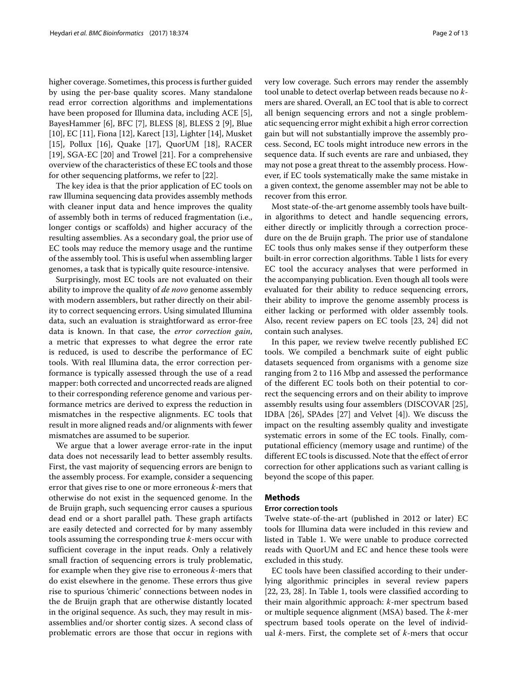higher coverage. Sometimes, this process is further guided by using the per-base quality scores. Many standalone read error correction algorithms and implementations have been proposed for Illumina data, including ACE [\[5\]](#page-11-4), BayesHammer [\[6\]](#page-11-5), BFC [\[7\]](#page-11-6), BLESS [\[8\]](#page-11-7), BLESS 2 [\[9\]](#page-11-8), Blue [\[10\]](#page-11-9), EC [\[11\]](#page-11-10), Fiona [\[12\]](#page-11-11), Karect [\[13\]](#page-11-12), Lighter [\[14\]](#page-11-13), Musket [\[15\]](#page-11-14), Pollux [\[16\]](#page-11-15), Quake [\[17\]](#page-11-16), QuorUM [\[18\]](#page-11-17), RACER [\[19\]](#page-11-18), SGA-EC [\[20\]](#page-11-19) and Trowel [\[21\]](#page-11-20). For a comprehensive overview of the characteristics of these EC tools and those for other sequencing platforms, we refer to [\[22\]](#page-11-21).

The key idea is that the prior application of EC tools on raw Illumina sequencing data provides assembly methods with cleaner input data and hence improves the quality of assembly both in terms of reduced fragmentation (i.e., longer contigs or scaffolds) and higher accuracy of the resulting assemblies. As a secondary goal, the prior use of EC tools may reduce the memory usage and the runtime of the assembly tool. This is useful when assembling larger genomes, a task that is typically quite resource-intensive.

Surprisingly, most EC tools are not evaluated on their ability to improve the quality of *de novo* genome assembly with modern assemblers, but rather directly on their ability to correct sequencing errors. Using simulated Illumina data, such an evaluation is straightforward as error-free data is known. In that case, the *error correction gain*, a metric that expresses to what degree the error rate is reduced, is used to describe the performance of EC tools. With real Illumina data, the error correction performance is typically assessed through the use of a read mapper: both corrected and uncorrected reads are aligned to their corresponding reference genome and various performance metrics are derived to express the reduction in mismatches in the respective alignments. EC tools that result in more aligned reads and/or alignments with fewer mismatches are assumed to be superior.

We argue that a lower average error-rate in the input data does not necessarily lead to better assembly results. First, the vast majority of sequencing errors are benign to the assembly process. For example, consider a sequencing error that gives rise to one or more erroneous *k*-mers that otherwise do not exist in the sequenced genome. In the de Bruijn graph, such sequencing error causes a spurious dead end or a short parallel path. These graph artifacts are easily detected and corrected for by many assembly tools assuming the corresponding true *k*-mers occur with sufficient coverage in the input reads. Only a relatively small fraction of sequencing errors is truly problematic, for example when they give rise to erroneous *k*-mers that do exist elsewhere in the genome. These errors thus give rise to spurious 'chimeric' connections between nodes in the de Bruijn graph that are otherwise distantly located in the original sequence. As such, they may result in misassemblies and/or shorter contig sizes. A second class of problematic errors are those that occur in regions with very low coverage. Such errors may render the assembly tool unable to detect overlap between reads because no *k*mers are shared. Overall, an EC tool that is able to correct all benign sequencing errors and not a single problematic sequencing error might exhibit a high error correction gain but will not substantially improve the assembly process. Second, EC tools might introduce new errors in the sequence data. If such events are rare and unbiased, they may not pose a great threat to the assembly process. However, if EC tools systematically make the same mistake in a given context, the genome assembler may not be able to recover from this error.

Most state-of-the-art genome assembly tools have builtin algorithms to detect and handle sequencing errors, either directly or implicitly through a correction procedure on the de Bruijn graph. The prior use of standalone EC tools thus only makes sense if they outperform these built-in error correction algorithms. Table [1](#page-2-0) lists for every EC tool the accuracy analyses that were performed in the accompanying publication. Even though all tools were evaluated for their ability to reduce sequencing errors, their ability to improve the genome assembly process is either lacking or performed with older assembly tools. Also, recent review papers on EC tools [\[23,](#page-11-22) [24\]](#page-11-23) did not contain such analyses.

In this paper, we review twelve recently published EC tools. We compiled a benchmark suite of eight public datasets sequenced from organisms with a genome size ranging from 2 to 116 Mbp and assessed the performance of the different EC tools both on their potential to correct the sequencing errors and on their ability to improve assembly results using four assemblers (DISCOVAR [\[25\]](#page-11-24), IDBA [\[26\]](#page-11-25), SPAdes [\[27\]](#page-11-26) and Velvet [\[4\]](#page-11-3)). We discuss the impact on the resulting assembly quality and investigate systematic errors in some of the EC tools. Finally, computational efficiency (memory usage and runtime) of the different EC tools is discussed. Note that the effect of error correction for other applications such as variant calling is beyond the scope of this paper.

## **Methods**

## **Error correction tools**

Twelve state-of-the-art (published in 2012 or later) EC tools for Illumina data were included in this review and listed in Table [1.](#page-2-0) We were unable to produce corrected reads with QuorUM and EC and hence these tools were excluded in this study.

EC tools have been classified according to their underlying algorithmic principles in several review papers [\[22,](#page-11-21) [23,](#page-11-22) [28\]](#page-11-27). In Table [1,](#page-2-0) tools were classified according to their main algorithmic approach: *k*-mer spectrum based or multiple sequence alignment (MSA) based. The *k*-mer spectrum based tools operate on the level of individual *k*-mers. First, the complete set of *k*-mers that occur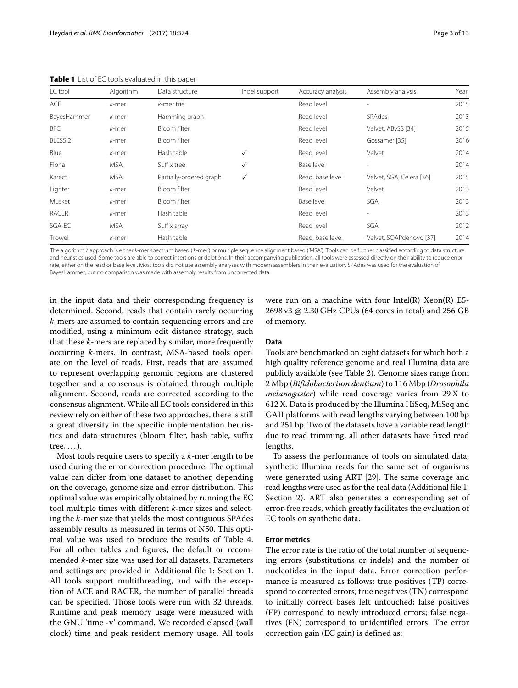| EC tool            | Algorithm  | Data structure          | Indel support | Accuracy analysis | Assembly analysis        | Year |
|--------------------|------------|-------------------------|---------------|-------------------|--------------------------|------|
| <b>ACE</b>         | k-mer      | k-mer trie              |               | Read level        | $\overline{a}$           | 2015 |
| BayesHammer        | k-mer      | Hamming graph           |               |                   | <b>SPAdes</b>            | 2013 |
| <b>BFC</b>         | k-mer      | Bloom filter            |               | Read level        | Velvet, ABySS [34]       | 2015 |
| BLESS <sub>2</sub> | k-mer      | Bloom filter            |               | Read level        | Gossamer [35]            | 2016 |
| Blue               | k-mer      | Hash table              | √             | Read level        | Velvet                   | 2014 |
| Fiona              | <b>MSA</b> | Suffix tree             | √             | Base level        | $\overline{\phantom{a}}$ | 2014 |
| Karect             | <b>MSA</b> | Partially-ordered graph | √             | Read, base level  | Velvet, SGA, Celera [36] | 2015 |
| Lighter            | k-mer      | Bloom filter            |               | Read level        | Velvet                   | 2013 |
| Musket             | k-mer      | Bloom filter            |               | Base level        | SGA                      | 2013 |
| <b>RACER</b>       | k-mer      | Hash table              |               | Read level        | $\overline{\phantom{a}}$ | 2013 |
| SGA-EC             | <b>MSA</b> | Suffix array            |               | Read level        | SGA                      | 2012 |
| Trowel             | k-mer      | Hash table              |               | Read, base level  | Velvet, SOAPdenovo [37]  | 2014 |

<span id="page-2-0"></span>**Table 1** List of EC tools evaluated in this paper

The algorithmic approach is either k-mer spectrum based ('k-mer') or multiple sequence alignment based ('MSA'). Tools can be further classified according to data structure and heuristics used. Some tools are able to correct insertions or deletions. In their accompanying publication, all tools were assessed directly on their ability to reduce error rate, either on the read or base level. Most tools did not use assembly analyses with modern assemblers in their evaluation. SPAdes was used for the evaluation of BayesHammer, but no comparison was made with assembly results from uncorrected data

in the input data and their corresponding frequency is determined. Second, reads that contain rarely occurring *k*-mers are assumed to contain sequencing errors and are modified, using a minimum edit distance strategy, such that these *k*-mers are replaced by similar, more frequently occurring *k*-mers. In contrast, MSA-based tools operate on the level of reads. First, reads that are assumed to represent overlapping genomic regions are clustered together and a consensus is obtained through multiple alignment. Second, reads are corrected according to the consensus alignment. While all EC tools considered in this review rely on either of these two approaches, there is still a great diversity in the specific implementation heuristics and data structures (bloom filter, hash table, suffix tree,  $\dots$ ).

Most tools require users to specify a *k*-mer length to be used during the error correction procedure. The optimal value can differ from one dataset to another, depending on the coverage, genome size and error distribution. This optimal value was empirically obtained by running the EC tool multiple times with different *k*-mer sizes and selecting the *k*-mer size that yields the most contiguous SPAdes assembly results as measured in terms of N50. This optimal value was used to produce the results of Table [4.](#page-6-0) For all other tables and figures, the default or recommended *k*-mer size was used for all datasets. Parameters and settings are provided in Additional file [1:](#page-10-0) Section 1. All tools support multithreading, and with the exception of ACE and RACER, the number of parallel threads can be specified. Those tools were run with 32 threads. Runtime and peak memory usage were measured with the GNU 'time -v' command. We recorded elapsed (wall clock) time and peak resident memory usage. All tools

were run on a machine with four Intel(R)  $Xeon(R)$  E5-2698 v3 @ 2.30 GHz CPUs (64 cores in total) and 256 GB of memory.

## **Data**

Tools are benchmarked on eight datasets for which both a high quality reference genome and real Illumina data are publicly available (see Table [2\)](#page-3-0). Genome sizes range from 2 Mbp (*Bifidobacterium dentium*) to 116 Mbp (*Drosophila melanogaster*) while read coverage varies from 29 X to 612 X. Data is produced by the Illumina HiSeq, MiSeq and GAII platforms with read lengths varying between 100 bp and 251 bp. Two of the datasets have a variable read length due to read trimming, all other datasets have fixed read lengths.

To assess the performance of tools on simulated data, synthetic Illumina reads for the same set of organisms were generated using ART [\[29\]](#page-11-28). The same coverage and read lengths were used as for the real data (Additional file [1:](#page-10-0) Section 2). ART also generates a corresponding set of error-free reads, which greatly facilitates the evaluation of EC tools on synthetic data.

## **Error metrics**

The error rate is the ratio of the total number of sequencing errors (substitutions or indels) and the number of nucleotides in the input data. Error correction performance is measured as follows: true positives (TP) correspond to corrected errors; true negatives (TN) correspond to initially correct bases left untouched; false positives (FP) correspond to newly introduced errors; false negatives (FN) correspond to unidentified errors. The error correction gain (EC gain) is defined as: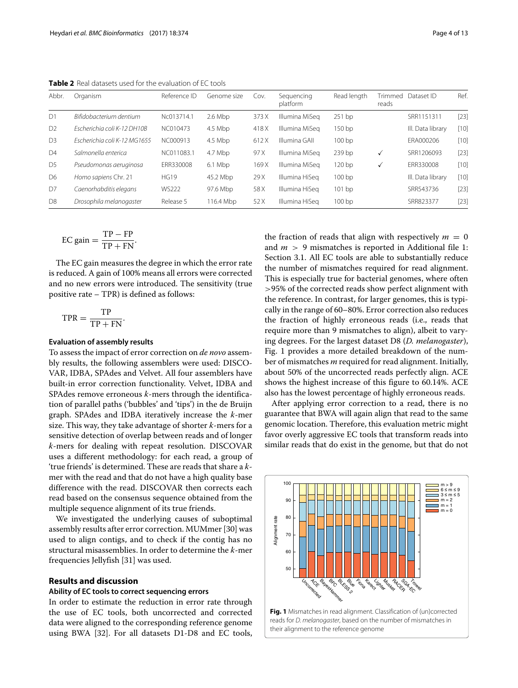<span id="page-3-0"></span>**Table 2** Real datasets used for the evaluation of EC tools

| Abbr.          | Organism                     | Reference ID | Genome size | Cov.  | Sequencing<br>platform | Read length       | Trimmed<br>reads | Dataset ID        | Ref.   |
|----------------|------------------------------|--------------|-------------|-------|------------------------|-------------------|------------------|-------------------|--------|
| D1             | Bifidobacterium dentium      | Nc013714.1   | $2.6$ Mbp   | 373 X | Illumina MiSeg         | 251bp             |                  | SRR1151311        | $[23]$ |
| D <sub>2</sub> | Escherichia coli K-12 DH10B  | NC010473     | 4.5 Mbp     | 418 X | Illumina MiSeg         | 150 bp            |                  | III. Data library | $[10]$ |
| D <sub>3</sub> | Escherichia coli K-12 MG1655 | NC000913     | 4.5 Mbp     | 612 X | Illumina GAIL          | 100 <sub>bp</sub> |                  | FRA000206         | $[10]$ |
| D <sub>4</sub> | Salmonella enterica          | NC011083.1   | 4.7 Mbp     | 97 X  | Illumina MiSeg         | 239 bp            | ✓                | SRR1206093        | $[23]$ |
| D <sub>5</sub> | Pseudomonas aeruginosa       | FRR330008    | $6.1$ Mbp   | 169 X | Illumina MiSeg         | 120 <sub>bp</sub> | √                | FRR330008         | $[10]$ |
| D6             | Homo sapiens Chr. 21         | <b>HG19</b>  | 45.2 Mbp    | 29 X  | Illumina HiSeg         | 100 <sub>bp</sub> |                  | III. Data library | $[10]$ |
| D <sub>7</sub> | Caenorhabditis elegans       | <b>WS222</b> | 97.6 Mbp    | 58 X  | Illumina HiSeg         | 101bp             |                  | SRR543736         | $[23]$ |
| D <sub>8</sub> | Drosophila melanogaster      | Release 5    | 116.4 Mbp   | 52 X  | Illumina HiSeg         | 100 <sub>bp</sub> |                  | SRR823377         | $[23]$ |

EC gain =  $\frac{TP - FP}{TP + FN}$ .

The EC gain measures the degree in which the error rate is reduced. A gain of 100% means all errors were corrected and no new errors were introduced. The sensitivity (true positive rate – TPR) is defined as follows:

$$
TPR = \frac{TP}{TP + FN}.
$$

## **Evaluation of assembly results**

To assess the impact of error correction on *de novo* assembly results, the following assemblers were used: DISCO-VAR, IDBA, SPAdes and Velvet. All four assemblers have built-in error correction functionality. Velvet, IDBA and SPAdes remove erroneous *k*-mers through the identification of parallel paths ('bubbles' and 'tips') in the de Bruijn graph. SPAdes and IDBA iteratively increase the *k*-mer size. This way, they take advantage of shorter *k*-mers for a sensitive detection of overlap between reads and of longer *k*-mers for dealing with repeat resolution. DISCOVAR uses a different methodology: for each read, a group of 'true friends' is determined. These are reads that share a *k*mer with the read and that do not have a high quality base difference with the read. DISCOVAR then corrects each read based on the consensus sequence obtained from the multiple sequence alignment of its true friends.

We investigated the underlying causes of suboptimal assembly results after error correction. MUMmer [\[30\]](#page-11-29) was used to align contigs, and to check if the contig has no structural misassemblies. In order to determine the *k*-mer frequencies Jellyfish [\[31\]](#page-12-4) was used.

## **Results and discussion**

## **Ability of EC tools to correct sequencing errors**

In order to estimate the reduction in error rate through the use of EC tools, both uncorrected and corrected data were aligned to the corresponding reference genome using BWA [\[32\]](#page-12-5). For all datasets D1-D8 and EC tools, the fraction of reads that align with respectively  $m = 0$ and *m* > 9 mismatches is reported in Additional file [1:](#page-10-0) Section 3.1. All EC tools are able to substantially reduce the number of mismatches required for read alignment. This is especially true for bacterial genomes, where often >95% of the corrected reads show perfect alignment with the reference. In contrast, for larger genomes, this is typically in the range of 60–80%. Error correction also reduces the fraction of highly erroneous reads (i.e., reads that require more than 9 mismatches to align), albeit to varying degrees. For the largest dataset D8 (*D. melanogaster*), Fig. [1](#page-3-1) provides a more detailed breakdown of the number of mismatches *m* required for read alignment. Initially, about 50% of the uncorrected reads perfectly align. ACE shows the highest increase of this figure to 60.14%. ACE also has the lowest percentage of highly erroneous reads.

After applying error correction to a read, there is no guarantee that BWA will again align that read to the same genomic location. Therefore, this evaluation metric might favor overly aggressive EC tools that transform reads into similar reads that do exist in the genome, but that do not

<span id="page-3-1"></span>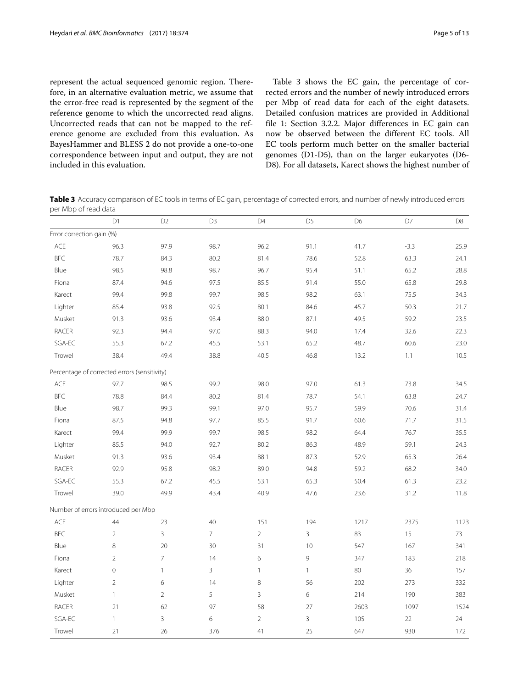represent the actual sequenced genomic region. Therefore, in an alternative evaluation metric, we assume that the error-free read is represented by the segment of the reference genome to which the uncorrected read aligns. Uncorrected reads that can not be mapped to the reference genome are excluded from this evaluation. As BayesHammer and BLESS 2 do not provide a one-to-one correspondence between input and output, they are not included in this evaluation.

Table [3](#page-4-0) shows the EC gain, the percentage of corrected errors and the number of newly introduced errors per Mbp of read data for each of the eight datasets. Detailed confusion matrices are provided in Additional file [1:](#page-10-0) Section 3.2.2. Major differences in EC gain can now be observed between the different EC tools. All EC tools perform much better on the smaller bacterial genomes (D1-D5), than on the larger eukaryotes (D6- D8). For all datasets, Karect shows the highest number of

<span id="page-4-0"></span>**Table 3** Accuracy comparison of EC tools in terms of EC gain, percentage of corrected errors, and number of newly introduced errors per Mbp of read data

|                           | D1                                           | D <sub>2</sub> | D <sub>3</sub> | D4             | D <sub>5</sub> | D <sub>6</sub> | D7     | D <sub>8</sub> |
|---------------------------|----------------------------------------------|----------------|----------------|----------------|----------------|----------------|--------|----------------|
| Error correction gain (%) |                                              |                |                |                |                |                |        |                |
| ACE                       | 96.3                                         | 97.9           | 98.7           | 96.2           | 91.1           | 41.7           | $-3.3$ | 25.9           |
| BFC                       | 78.7                                         | 84.3           | 80.2           | 81.4           | 78.6           | 52.8           | 63.3   | 24.1           |
| Blue                      | 98.5                                         | 98.8           | 98.7           | 96.7           | 95.4           | 51.1           | 65.2   | 28.8           |
| Fiona                     | 87.4                                         | 94.6           | 97.5           | 85.5           | 91.4           | 55.0           | 65.8   | 29.8           |
| Karect                    | 99.4                                         | 99.8           | 99.7           | 98.5           | 98.2           | 63.1           | 75.5   | 34.3           |
| Lighter                   | 85.4                                         | 93.8           | 92.5           | 80.1           | 84.6           | 45.7           | 50.3   | 21.7           |
| Musket                    | 91.3                                         | 93.6           | 93.4           | 88.0           | 87.1           | 49.5           | 59.2   | 23.5           |
| <b>RACER</b>              | 92.3                                         | 94.4           | 97.0           | 88.3           | 94.0           | 17.4           | 32.6   | 22.3           |
| SGA-EC                    | 55.3                                         | 67.2           | 45.5           | 53.1           | 65.2           | 48.7           | 60.6   | 23.0           |
| Trowel                    | 38.4                                         | 49.4           | 38.8           | 40.5           | 46.8           | 13.2           | 1.1    | 10.5           |
|                           | Percentage of corrected errors (sensitivity) |                |                |                |                |                |        |                |
| ACE                       | 97.7                                         | 98.5           | 99.2           | 98.0           | 97.0           | 61.3           | 73.8   | 34.5           |
| <b>BFC</b>                | 78.8                                         | 84.4           | 80.2           | 81.4           | 78.7           | 54.1           | 63.8   | 24.7           |
| Blue                      | 98.7                                         | 99.3           | 99.1           | 97.0           | 95.7           | 59.9           | 70.6   | 31.4           |
| Fiona                     | 87.5                                         | 94.8           | 97.7           | 85.5           | 91.7           | 60.6           | 71.7   | 31.5           |
| Karect                    | 99.4                                         | 99.9           | 99.7           | 98.5           | 98.2           | 64.4           | 76.7   | 35.5           |
| Lighter                   | 85.5                                         | 94.0           | 92.7           | 80.2           | 86.3           | 48.9           | 59.1   | 24.3           |
| Musket                    | 91.3                                         | 93.6           | 93.4           | 88.1           | 87.3           | 52.9           | 65.3   | 26.4           |
| <b>RACER</b>              | 92.9                                         | 95.8           | 98.2           | 89.0           | 94.8           | 59.2           | 68.2   | 34.0           |
| SGA-EC                    | 55.3                                         | 67.2           | 45.5           | 53.1           | 65.3           | 50.4           | 61.3   | 23.2           |
| Trowel                    | 39.0                                         | 49.9           | 43.4           | 40.9           | 47.6           | 23.6           | 31.2   | 11.8           |
|                           | Number of errors introduced per Mbp          |                |                |                |                |                |        |                |
| ACE                       | 44                                           | 23             | 40             | 151            | 194            | 1217           | 2375   | 1123           |
| <b>BFC</b>                | $\overline{2}$                               | $\mathbf{3}$   | $\overline{7}$ | $\overline{2}$ | 3              | 83             | 15     | 73             |
| Blue                      | 8                                            | 20             | 30             | 31             | 10             | 547            | 167    | 341            |
| Fiona                     | $\overline{2}$                               | $\overline{7}$ | 14             | 6              | 9              | 347            | 183    | 218            |
| Karect                    | $\overline{0}$                               | $\mathbf{1}$   | 3              | $\mathbf{1}$   | $\mathbf{1}$   | 80             | 36     | 157            |
| Lighter                   | $\overline{2}$                               | 6              | 14             | $\,8\,$        | 56             | 202            | 273    | 332            |
| Musket                    | $\mathbf{1}$                                 | $\overline{2}$ | 5              | $\mathbf{3}$   | 6              | 214            | 190    | 383            |
| <b>RACER</b>              | 21                                           | 62             | 97             | 58             | 27             | 2603           | 1097   | 1524           |
| SGA-EC                    | $\mathbf{1}$                                 | 3              | 6              | $\overline{2}$ | 3              | 105            | 22     | 24             |
| Trowel                    | 21                                           | 26             | 376            | 41             | 25             | 647            | 930    | 172            |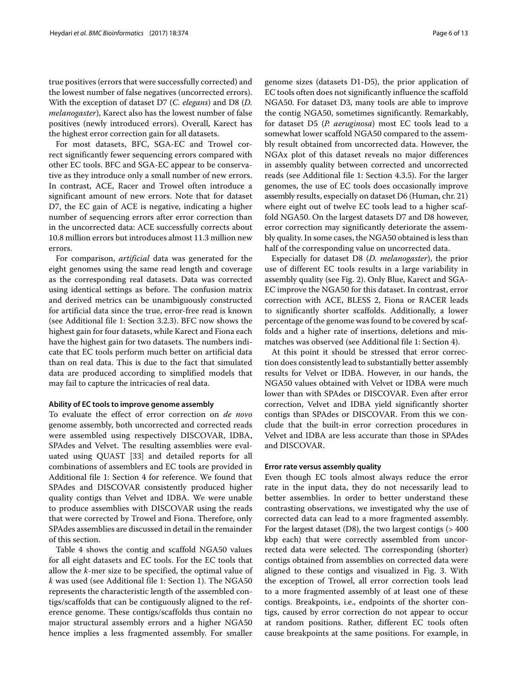true positives (errors that were successfully corrected) and the lowest number of false negatives (uncorrected errors). With the exception of dataset D7 (*C. elegans*) and D8 (*D. melanogaster*), Karect also has the lowest number of false positives (newly introduced errors). Overall, Karect has the highest error correction gain for all datasets.

For most datasets, BFC, SGA-EC and Trowel correct significantly fewer sequencing errors compared with other EC tools. BFC and SGA-EC appear to be conservative as they introduce only a small number of new errors. In contrast, ACE, Racer and Trowel often introduce a significant amount of new errors. Note that for dataset D7, the EC gain of ACE is negative, indicating a higher number of sequencing errors after error correction than in the uncorrected data: ACE successfully corrects about 10.8 million errors but introduces almost 11.3 million new errors.

For comparison, *artificial* data was generated for the eight genomes using the same read length and coverage as the corresponding real datasets. Data was corrected using identical settings as before. The confusion matrix and derived metrics can be unambiguously constructed for artificial data since the true, error-free read is known (see Additional file [1:](#page-10-0) Section 3.2.3). BFC now shows the highest gain for four datasets, while Karect and Fiona each have the highest gain for two datasets. The numbers indicate that EC tools perform much better on artificial data than on real data. This is due to the fact that simulated data are produced according to simplified models that may fail to capture the intricacies of real data.

## **Ability of EC tools to improve genome assembly**

To evaluate the effect of error correction on *de novo* genome assembly, both uncorrected and corrected reads were assembled using respectively DISCOVAR, IDBA, SPAdes and Velvet. The resulting assemblies were evaluated using QUAST [\[33\]](#page-12-6) and detailed reports for all combinations of assemblers and EC tools are provided in Additional file [1:](#page-10-0) Section 4 for reference. We found that SPAdes and DISCOVAR consistently produced higher quality contigs than Velvet and IDBA. We were unable to produce assemblies with DISCOVAR using the reads that were corrected by Trowel and Fiona. Therefore, only SPAdes assemblies are discussed in detail in the remainder of this section.

Table [4](#page-6-0) shows the contig and scaffold NGA50 values for all eight datasets and EC tools. For the EC tools that allow the *k*-mer size to be specified, the optimal value of *k* was used (see Additional file [1:](#page-10-0) Section 1). The NGA50 represents the characteristic length of the assembled contigs/scaffolds that can be contiguously aligned to the reference genome. These contigs/scaffolds thus contain no major structural assembly errors and a higher NGA50 hence implies a less fragmented assembly. For smaller

genome sizes (datasets D1-D5), the prior application of EC tools often does not significantly influence the scaffold NGA50. For dataset D3, many tools are able to improve the contig NGA50, sometimes significantly. Remarkably, for dataset D5 (*P. aeruginosa*) most EC tools lead to a somewhat lower scaffold NGA50 compared to the assembly result obtained from uncorrected data. However, the NGAx plot of this dataset reveals no major differences in assembly quality between corrected and uncorrected reads (see Additional file [1:](#page-10-0) Section 4.3.5). For the larger genomes, the use of EC tools does occasionally improve assembly results, especially on dataset D6 (Human, chr. 21) where eight out of twelve EC tools lead to a higher scaffold NGA50. On the largest datasets D7 and D8 however, error correction may significantly deteriorate the assembly quality. In some cases, the NGA50 obtained is less than half of the corresponding value on uncorrected data.

Especially for dataset D8 (*D. melanogaster*), the prior use of different EC tools results in a large variability in assembly quality (see Fig. [2\)](#page-6-1). Only Blue, Karect and SGA-EC improve the NGA50 for this dataset. In contrast, error correction with ACE, BLESS 2, Fiona or RACER leads to significantly shorter scaffolds. Additionally, a lower percentage of the genome was found to be covered by scaffolds and a higher rate of insertions, deletions and mismatches was observed (see Additional file [1:](#page-10-0) Section 4).

At this point it should be stressed that error correction does consistently lead to substantially better assembly results for Velvet or IDBA. However, in our hands, the NGA50 values obtained with Velvet or IDBA were much lower than with SPAdes or DISCOVAR. Even after error correction, Velvet and IDBA yield significantly shorter contigs than SPAdes or DISCOVAR. From this we conclude that the built-in error correction procedures in Velvet and IDBA are less accurate than those in SPAdes and DISCOVAR.

### **Error rate versus assembly quality**

Even though EC tools almost always reduce the error rate in the input data, they do not necessarily lead to better assemblies. In order to better understand these contrasting observations, we investigated why the use of corrected data can lead to a more fragmented assembly. For the largest dataset  $(D8)$ , the two largest contigs ( $> 400$ ) kbp each) that were correctly assembled from uncorrected data were selected. The corresponding (shorter) contigs obtained from assemblies on corrected data were aligned to these contigs and visualized in Fig. [3.](#page-7-0) With the exception of Trowel, all error correction tools lead to a more fragmented assembly of at least one of these contigs. Breakpoints, i.e., endpoints of the shorter contigs, caused by error correction do not appear to occur at random positions. Rather, different EC tools often cause breakpoints at the same positions. For example, in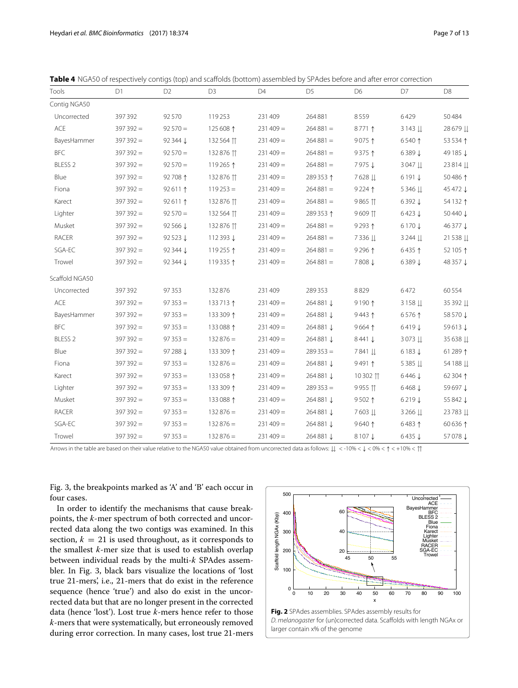<span id="page-6-0"></span>

|  |  |  |  |  | Table 4 NGA50 of respectively contigs (top) and scaffolds (bottom) assembled by SPAdes before and after error correction |
|--|--|--|--|--|--------------------------------------------------------------------------------------------------------------------------|
|--|--|--|--|--|--------------------------------------------------------------------------------------------------------------------------|

| Tools          | D1         | D <sub>2</sub> | D <sub>3</sub> | D <sub>4</sub> | D <sub>5</sub> | D6                | D7                | D8        |
|----------------|------------|----------------|----------------|----------------|----------------|-------------------|-------------------|-----------|
| Contig NGA50   |            |                |                |                |                |                   |                   |           |
| Uncorrected    | 397 392    | 92570          | 119253         | 231409         | 264881         | 8559              | 6429              | 50484     |
| ACE            | $397392 =$ | $92570 =$      | 125 608 1      | $231409 =$     | $264881 =$     | 8771 ↑            | 3143 山            | 28 679 儿  |
| BayesHammer    | $397392 =$ | 92 344 ↓       | 132564 11      | $231409 =$     | $264881 =$     | 9075个             | 6540个             | 53 534 1  |
| <b>BFC</b>     | $397392 =$ | $92570 =$      | 13287611       | $231409 =$     | $264881 =$     | 9375个             | 6389↓             | 49 185↓   |
| <b>BLESS 2</b> | $397392 =$ | $92570 =$      | 119265 ↑       | $231409 =$     | $264881 =$     | 7975↓             | 3047 儿            | 23 814 儿  |
| Blue           | $397392 =$ | 92708 ↑        | 13287611       | $231409 =$     | 289 353 1      | 7628 山            | 6191↓             | 50486 ↑   |
| Fiona          | $397392 =$ | 92611 ↑        | $119253 =$     | $231409 =$     | $264881 =$     | 9224 ↑            | 5 346 山           | 45 472↓   |
| Karect         | $397392 =$ | 92611 ↑        | 1328761        | $231409=$      | $264881 =$     | 9865 竹            | 6392↓             | 54132 ↑   |
| Lighter        | $397392 =$ | $92570 =$      | 132 564 11     | $231409 =$     | 289353 ↑       | 96091             | $6423 \downarrow$ | 50440↓    |
| Musket         | $397392 =$ | 92 566↓        | 132 876 11     | $231409=$      | $264881 =$     | 9293个             | 6170↓             | 46 377↓   |
| <b>RACER</b>   | $397392 =$ | 92 5 23 ↓      | 112 393 ↓      | $231409 =$     | $264881 =$     | 7 3 3 6 ↓         | 3 244 儿           | 21 538 以  |
| SGA-EC         | $397392 =$ | 92 344↓        | 119255 ↑       | $231409 =$     | $264881 =$     | 9296 ↑            | 6435 ↑            | 52 105 ↑  |
| Trowel         | $397392 =$ | 92 344 ↓       | 119335 1       | $231409 =$     | $264881 =$     | 7808↓             | 6389↓             | 48 357 ↓  |
| Scaffold NGA50 |            |                |                |                |                |                   |                   |           |
| Uncorrected    | 397 392    | 97 35 3        | 132876         | 231 409        | 289353         | 8829              | 6472              | 60554     |
| ACE            | $397392 =$ | $97353 =$      | 133713 ↑       | $231409 =$     | 264 881 J      | 9190个             | 3158 以            | 35 392 儿  |
| BayesHammer    | $397392 =$ | $97353 =$      | 133 309 1      | $231409=$      | 264 881↓       | 9443 ↑            | 6576 ↑            | 58570↓    |
| <b>BFC</b>     | $397392 =$ | $97353 =$      | 133088 1       | $231409=$      | 264 881↓       | 9664 ↑            | 6419↓             | 59613↓    |
| <b>BLESS 2</b> | $397392 =$ | $97353 =$      | $132876=$      | $231409=$      | 264 881↓       | $8441 \downarrow$ | 3073 山            | 35 638 以  |
| Blue           | $397392 =$ | 97 288↓        | 133 309 1      | $231409=$      | $289353 =$     | 7841 1            | $6183 \downarrow$ | 61 289 1  |
| Fiona          | $397392 =$ | $97353 =$      | $132876=$      | $231409=$      | 264 881↓       | 94911             | 5 3 8 5 11        | 54 188 儿  |
| Karect         | $397392 =$ | $97353 =$      | 133058 ↑       | $231409=$      | 264 881↓       | 10 302 竹          | 6446↓             | 62 304 1  |
| Lighter        | $397392 =$ | $97353 =$      | 133 309 1      | $231409 =$     | $289353 =$     | 9955 竹            | 6468↓             | 59697↓    |
| Musket         | $397392 =$ | $97353 =$      | 133088 1       | $231409=$      | 264 881 ↓      | 9502 ↑            | 6219↓             | 55 842↓   |
| <b>RACER</b>   | $397392 =$ | $97353 =$      | $132876 =$     | $231409=$      | 264 881↓       | 7603 ↓↓           | 3 2 6 1           | 23 783 ↓↓ |
| SGA-EC         | $397392 =$ | $97353 =$      | $132876=$      | $231409 =$     | 264 881↓       | 9640 ↑            | 6483 ↑            | 60636 ↑   |
| Trowel         | $397392 =$ | $97353 =$      | $132876 =$     | $231409=$      | 264 881↓       | 8107↓             | 6435↓             | 57078↓    |

Arrows in the table are based on their value relative to the NGA50 value obtained from uncorrected data as follows:  $\downarrow$  <  $\sim$  10% <  $\downarrow$  <  $\sim$  0% <  $\uparrow$  <  $\sim$  110%  $<$   $\uparrow$ 

Fig. [3,](#page-7-0) the breakpoints marked as 'A' and 'B' each occur in four cases.

In order to identify the mechanisms that cause breakpoints, the *k*-mer spectrum of both corrected and uncorrected data along the two contigs was examined. In this section,  $k = 21$  is used throughout, as it corresponds to the smallest *k*-mer size that is used to establish overlap between individual reads by the multi-*k* SPAdes assembler. In Fig. [3,](#page-7-0) black bars visualize the locations of 'lost true 21-mers', i.e., 21-mers that do exist in the reference sequence (hence 'true') and also do exist in the uncorrected data but that are no longer present in the corrected data (hence 'lost'). Lost true *k*-mers hence refer to those *k*-mers that were systematically, but erroneously removed during error correction. In many cases, lost true 21-mers

<span id="page-6-1"></span>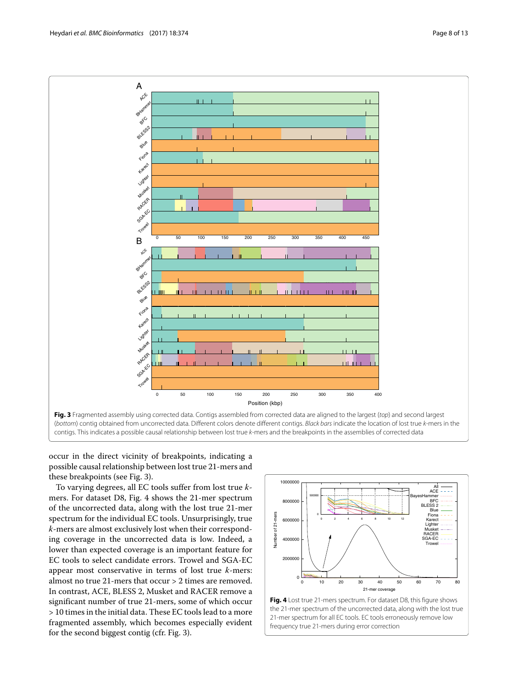<span id="page-7-0"></span>occur in the direct vicinity of breakpoints, indicating a possible causal relationship between lost true 21-mers and these breakpoints (see Fig. [3\)](#page-7-0).

To varying degrees, all EC tools suffer from lost true *k*mers. For dataset D8, Fig. [4](#page-7-1) shows the 21-mer spectrum of the uncorrected data, along with the lost true 21-mer spectrum for the individual EC tools. Unsurprisingly, true *k*-mers are almost exclusively lost when their corresponding coverage in the uncorrected data is low. Indeed, a lower than expected coverage is an important feature for EC tools to select candidate errors. Trowel and SGA-EC appear most conservative in terms of lost true *k*-mers: almost no true 21-mers that occur > 2 times are removed. In contrast, ACE, BLESS 2, Musket and RACER remove a significant number of true 21-mers, some of which occur > 10 times in the initial data. These EC tools lead to a more fragmented assembly, which becomes especially evident for the second biggest contig (cfr. Fig. [3\)](#page-7-0).



<span id="page-7-1"></span>frequency true 21-mers during error correction

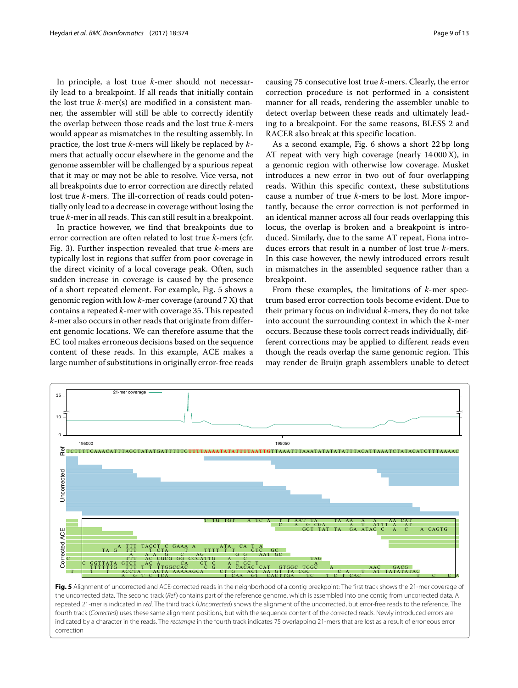In principle, a lost true *k*-mer should not necessarily lead to a breakpoint. If all reads that initially contain the lost true *k*-mer(s) are modified in a consistent manner, the assembler will still be able to correctly identify the overlap between those reads and the lost true *k*-mers would appear as mismatches in the resulting assembly. In practice, the lost true *k*-mers will likely be replaced by *k*mers that actually occur elsewhere in the genome and the genome assembler will be challenged by a spurious repeat that it may or may not be able to resolve. Vice versa, not all breakpoints due to error correction are directly related lost true *k*-mers. The ill-correction of reads could potentially only lead to a decrease in coverage without losing the true *k*-mer in all reads. This can still result in a breakpoint.

In practice however, we find that breakpoints due to error correction are often related to lost true *k*-mers (cfr. Fig. [3\)](#page-7-0). Further inspection revealed that true *k*-mers are typically lost in regions that suffer from poor coverage in the direct vicinity of a local coverage peak. Often, such sudden increase in coverage is caused by the presence of a short repeated element. For example, Fig. [5](#page-8-0) shows a genomic region with low *k*-mer coverage (around 7 X) that contains a repeated *k*-mer with coverage 35. This repeated *k*-mer also occurs in other reads that originate from different genomic locations. We can therefore assume that the EC tool makes erroneous decisions based on the sequence content of these reads. In this example, ACE makes a large number of substitutions in originally error-free reads

causing 75 consecutive lost true *k*-mers. Clearly, the error correction procedure is not performed in a consistent manner for all reads, rendering the assembler unable to detect overlap between these reads and ultimately leading to a breakpoint. For the same reasons, BLESS 2 and RACER also break at this specific location.

As a second example, Fig. [6](#page-9-0) shows a short 22 bp long AT repeat with very high coverage (nearly 14 000 X), in a genomic region with otherwise low coverage. Musket introduces a new error in two out of four overlapping reads. Within this specific context, these substitutions cause a number of true *k*-mers to be lost. More importantly, because the error correction is not performed in an identical manner across all four reads overlapping this locus, the overlap is broken and a breakpoint is introduced. Similarly, due to the same AT repeat, Fiona introduces errors that result in a number of lost true *k*-mers. In this case however, the newly introduced errors result in mismatches in the assembled sequence rather than a breakpoint.

From these examples, the limitations of *k*-mer spectrum based error correction tools become evident. Due to their primary focus on individual *k*-mers, they do not take into account the surrounding context in which the *k*-mer occurs. Because these tools correct reads individually, different corrections may be applied to different reads even though the reads overlap the same genomic region. This may render de Bruijn graph assemblers unable to detect



<span id="page-8-0"></span>the uncorrected data. The second track (Ref) contains part of the reference genome, which is assembled into one contig from uncorrected data. A repeated 21-mer is indicated in red. The third track (Uncorrected) shows the alignment of the uncorrected, but error-free reads to the reference. The fourth track (Corrected) uses these same alignment positions, but with the sequence content of the corrected reads. Newly introduced errors are indicated by a character in the reads. The rectangle in the fourth track indicates 75 overlapping 21-mers that are lost as a result of erroneous error correction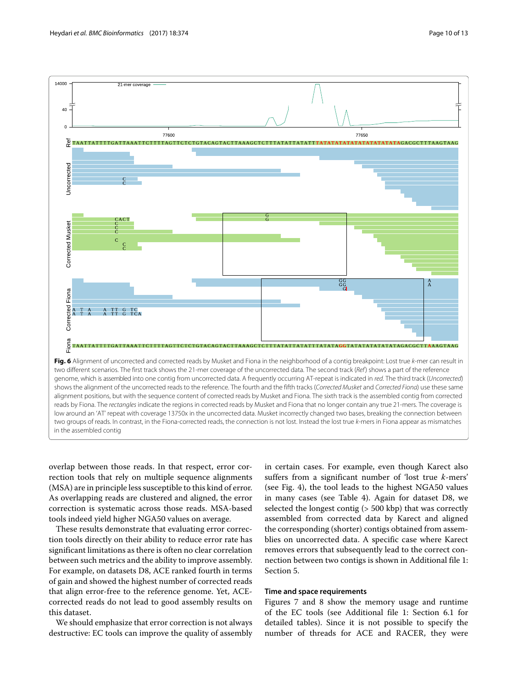

<span id="page-9-0"></span>overlap between those reads. In that respect, error correction tools that rely on multiple sequence alignments (MSA) are in principle less susceptible to this kind of error. As overlapping reads are clustered and aligned, the error correction is systematic across those reads. MSA-based tools indeed yield higher NGA50 values on average.

These results demonstrate that evaluating error correction tools directly on their ability to reduce error rate has significant limitations as there is often no clear correlation between such metrics and the ability to improve assembly. For example, on datasets D8, ACE ranked fourth in terms of gain and showed the highest number of corrected reads that align error-free to the reference genome. Yet, ACEcorrected reads do not lead to good assembly results on this dataset.

We should emphasize that error correction is not always destructive: EC tools can improve the quality of assembly in certain cases. For example, even though Karect also suffers from a significant number of 'lost true *k*-mers' (see Fig. [4\)](#page-7-1), the tool leads to the highest NGA50 values in many cases (see Table [4\)](#page-6-0). Again for dataset D8, we selected the longest contig (> 500 kbp) that was correctly assembled from corrected data by Karect and aligned the corresponding (shorter) contigs obtained from assemblies on uncorrected data. A specific case where Karect removes errors that subsequently lead to the correct connection between two contigs is shown in Additional file [1:](#page-10-0) Section 5.

## **Time and space requirements**

Figures [7](#page-10-1) and [8](#page-10-2) show the memory usage and runtime of the EC tools (see Additional file [1:](#page-10-0) Section 6.1 for detailed tables). Since it is not possible to specify the number of threads for ACE and RACER, they were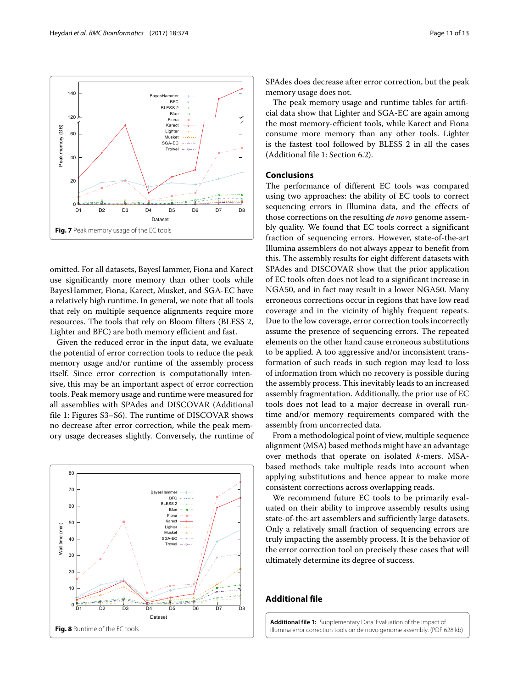



<span id="page-10-1"></span>omitted. For all datasets, BayesHammer, Fiona and Karect use significantly more memory than other tools while BayesHammer, Fiona, Karect, Musket, and SGA-EC have a relatively high runtime. In general, we note that all tools that rely on multiple sequence alignments require more resources. The tools that rely on Bloom filters (BLESS 2, Lighter and BFC) are both memory efficient and fast.

Given the reduced error in the input data, we evaluate the potential of error correction tools to reduce the peak memory usage and/or runtime of the assembly process itself. Since error correction is computationally intensive, this may be an important aspect of error correction tools. Peak memory usage and runtime were measured for all assemblies with SPAdes and DISCOVAR (Additional file [1:](#page-10-0) Figures S3–S6). The runtime of DISCOVAR shows no decrease after error correction, while the peak memory usage decreases slightly. Conversely, the runtime of

<span id="page-10-2"></span>

SPAdes does decrease after error correction, but the peak memory usage does not.

The peak memory usage and runtime tables for artificial data show that Lighter and SGA-EC are again among the most memory-efficient tools, while Karect and Fiona consume more memory than any other tools. Lighter is the fastest tool followed by BLESS 2 in all the cases (Additional file [1:](#page-10-0) Section 6.2).

## **Conclusions**

The performance of different EC tools was compared using two approaches: the ability of EC tools to correct sequencing errors in Illumina data, and the effects of those corrections on the resulting *de novo* genome assembly quality. We found that EC tools correct a significant fraction of sequencing errors. However, state-of-the-art Illumina assemblers do not always appear to benefit from this. The assembly results for eight different datasets with SPAdes and DISCOVAR show that the prior application of EC tools often does not lead to a significant increase in NGA50, and in fact may result in a lower NGA50. Many erroneous corrections occur in regions that have low read coverage and in the vicinity of highly frequent repeats. Due to the low coverage, error correction tools incorrectly assume the presence of sequencing errors. The repeated elements on the other hand cause erroneous substitutions to be applied. A too aggressive and/or inconsistent transformation of such reads in such region may lead to loss of information from which no recovery is possible during the assembly process. This inevitably leads to an increased assembly fragmentation. Additionally, the prior use of EC tools does not lead to a major decrease in overall runtime and/or memory requirements compared with the assembly from uncorrected data.

From a methodological point of view, multiple sequence alignment (MSA) based methods might have an advantage over methods that operate on isolated *k*-mers. MSAbased methods take multiple reads into account when applying substitutions and hence appear to make more consistent corrections across overlapping reads.

We recommend future EC tools to be primarily evaluated on their ability to improve assembly results using state-of-the-art assemblers and sufficiently large datasets. Only a relatively small fraction of sequencing errors are truly impacting the assembly process. It is the behavior of the error correction tool on precisely these cases that will ultimately determine its degree of success.

## **Additional file**

<span id="page-10-0"></span>**[Additional file 1:](http://dx.doi.org/10.1186/s12859-017-1784-8)** Supplementary Data. Evaluation of the impact of Illumina error correction tools on de novo genome assembly. (PDF 628 kb)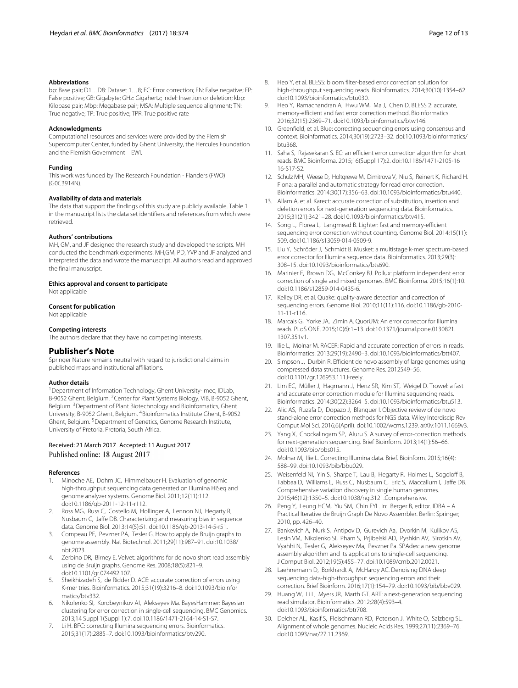#### **Abbreviations**

bp: Base pair; D1...D8: Dataset 1...8; EC: Error correction; FN: False negative; FP: False positive; GB: Gigabyte; GHz: Gigahertz; indel: Insertion or deletion; kbp: Kilobase pair; Mbp: Megabase pair; MSA: Multiple sequence alignment; TN: True negative; TP: True positive; TPR: True positive rate

#### **Acknowledgments**

Computational resources and services were provided by the Flemish Supercomputer Center, funded by Ghent University, the Hercules Foundation and the Flemish Government – EWI.

#### **Funding**

This work was funded by The Research Foundation - Flanders (FWO) (G0C3914N).

#### **Availability of data and materials**

The data that support the findings of this study are publicly available. Table 1 in the manuscript lists the data set identifiers and references from which were retrieved.

#### **Authors' contributions**

MH, GM, and JF designed the research study and developed the scripts. MH conducted the benchmark experiments. MH,GM, PD, YVP and JF analyzed and interpreted the data and wrote the manuscript. All authors read and approved the final manuscript.

### **Ethics approval and consent to participate**

Not applicable

## **Consent for publication**

Not applicable

#### **Competing interests**

The authors declare that they have no competing interests.

## **Publisher's Note**

Springer Nature remains neutral with regard to jurisdictional claims in published maps and institutional affiliations.

#### **Author details**

<sup>1</sup> Department of Information Technology, Ghent University-imec, IDLab, B-9052 Ghent, Belgium. 2Center for Plant Systems Biology, VIB, B-9052 Ghent, Belgium. 3Department of Plant Biotechnology and Bioinformatics, Ghent University, B-9052 Ghent, Belgium. 4Bioinformatics Institute Ghent, B-9052 Ghent, Belgium. <sup>5</sup>Department of Genetics, Genome Research Institute, University of Pretoria, Pretoria, South Africa.

## Received: 21 March 2017 Accepted: 11 August 2017 Published online: 18 August 2017

#### **References**

- <span id="page-11-0"></span>1. Minoche AE, Dohm JC, Himmelbauer H. Evaluation of genomic high-throughput sequencing data generated on Illumina HiSeq and genome analyzer systems. Genome Biol. 2011;12(11):112. doi[:10.1186/gb-2011-12-11-r112.](http://dx.doi.org/10.1186/gb-2011-12-11-r112)
- <span id="page-11-1"></span>2. Ross MG, Russ C, Costello M, Hollinger A, Lennon NJ, Hegarty R, Nusbaum C, Jaffe DB. Characterizing and measuring bias in sequence data. Genome Biol. 2013;14(5):51. doi[:10.1186/gb-2013-14-5-r51.](http://dx.doi.org/10.1186/gb-2013-14-5-r51)
- <span id="page-11-2"></span>3. Compeau PE, Pevzner PA, Tesler G. How to apply de Bruijn graphs to genome assembly. Nat Biotechnol. 2011;29(11):987–91. doi[:10.1038/](http://dx.doi.org/10.1038/nbt.2023) [nbt.2023.](http://dx.doi.org/10.1038/nbt.2023)
- <span id="page-11-3"></span>Zerbino DR, Birney E. Velvet: algorithms for de novo short read assembly using de Bruijn graphs. Genome Res. 2008;18(5):821–9. doi[:10.1101/gr.074492.107.](http://dx.doi.org/10.1101/gr.074492.107)
- <span id="page-11-4"></span>5. Sheikhizadeh S, de Ridder D. ACE: accurate correction of errors using K-mer tries. Bioinformatics. 2015;31(19):3216–8. do[i:10.1093/bioinfor](http://dx.doi.org/10.1093/bioinformatics/btv332) [matics/btv332.](http://dx.doi.org/10.1093/bioinformatics/btv332)
- <span id="page-11-5"></span>6. Nikolenko SI, Korobeynikov AI, Alekseyev Ma. BayesHammer: Bayesian clustering for error correction in single-cell sequencing. BMC Genomics. 2013;14 Suppl 1(Suppl 1):7. doi[:10.1186/1471-2164-14-S1-S7.](http://dx.doi.org/10.1186/1471-2164-14-S1-S7)
- <span id="page-11-6"></span>7. Li H. BFC: correcting Illumina sequencing errors. Bioinformatics. 2015;31(17):2885–7. doi[:10.1093/bioinformatics/btv290.](http://dx.doi.org/10.1093/bioinformatics/btv290)
- <span id="page-11-7"></span>8. Heo Y, et al. BLESS: bloom filter-based error correction solution for high-throughput sequencing reads. Bioinformatics. 2014;30(10):1354–62. doi[:10.1093/bioinformatics/btu030.](http://dx.doi.org/10.1093/bioinformatics/btu030)
- <span id="page-11-8"></span>Heo Y, Ramachandran A, Hwu WM, Ma J, Chen D. BLESS 2: accurate, memory-efficient and fast error correction method. Bioinformatics. 2016;32(15):2369–71. do[i:10.1093/bioinformatics/btw146.](http://dx.doi.org/10.1093/bioinformatics/btw146)
- <span id="page-11-9"></span>10. Greenfield, et al. Blue: correcting sequencing errors using consensus and context. Bioinformatics. 2014;30(19):2723–32. doi[:10.1093/bioinformatics/](http://dx.doi.org/10.1093/bioinformatics/btu368) [btu368.](http://dx.doi.org/10.1093/bioinformatics/btu368)
- <span id="page-11-10"></span>11. Saha S, Rajasekaran S. EC: an efficient error correction algorithm for short reads. BMC Bioinforma. 2015;16(Suppl 17):2. doi[:10.1186/1471-2105-16](http://dx.doi.org/10.1186/1471-2105-16-S17-S2) [16-S17-S2.](http://dx.doi.org/10.1186/1471-2105-16-S17-S2)
- <span id="page-11-11"></span>12. Schulz MH, Weese D, Holtgrewe M, Dimitrova V, Niu S, Reinert K, Richard H. Fiona: a parallel and automatic strategy for read error correction. Bioinformatics. 2014;30(17):356–63. do[i:10.1093/bioinformatics/btu440.](http://dx.doi.org/10.1093/bioinformatics/btu440)
- <span id="page-11-12"></span>13. Allam A, et al. Karect: accurate correction of substitution, insertion and deletion errors for next-generation sequencing data. Bioinformatics. 2015;31(21):3421–28. do[i:10.1093/bioinformatics/btv415.](http://dx.doi.org/10.1093/bioinformatics/btv415)
- <span id="page-11-13"></span>14. Song L, Florea L, Langmead B. Lighter: fast and memory-efficient sequencing error correction without counting. Genome Biol. 2014;15(11): 509. doi[:10.1186/s13059-014-0509-9.](http://dx.doi.org/10.1186/s13059-014-0509-9)
- <span id="page-11-14"></span>15. Liu Y, Schröder J, Schmidt B. Musket: a multistage k-mer spectrum-based error corrector for Illumina sequence data. Bioinformatics. 2013;29(3): 308–15. doi[:10.1093/bioinformatics/bts690.](http://dx.doi.org/10.1093/bioinformatics/bts690)
- <span id="page-11-15"></span>16. Marinier E, Brown DG, McConkey BJ. Pollux: platform independent error correction of single and mixed genomes. BMC Bioinforma. 2015;16(1):10. doi[:10.1186/s12859-014-0435-6.](http://dx.doi.org/10.1186/s12859-014-0435-6)
- <span id="page-11-16"></span>17. Kelley DR, et al. Quake: quality-aware detection and correction of sequencing errors. Genome Biol. 2010;11(11):116. doi[:10.1186/gb-2010-](http://dx.doi.org/10.1186/gb-2010-11-11-r116) [11-11-r116.](http://dx.doi.org/10.1186/gb-2010-11-11-r116)
- <span id="page-11-17"></span>18. Marcais G, Yorke JA, Zimin A. QuorUM: An error corrector for Illumina reads. PLoS ONE. 2015;10(6):1–13. do[i:10.1371/journal.pone.0130821.](http://dx.doi.org/10.1371/journal.pone.0130821) [1307.351v1.](http://arxiv.org/abs/1307.351v1)
- <span id="page-11-18"></span>19. Ilie L, Molnar M. RACER: Rapid and accurate correction of errors in reads. Bioinformatics. 2013;29(19):2490–3. do[i:10.1093/bioinformatics/btt407.](http://dx.doi.org/10.1093/bioinformatics/btt407)
- <span id="page-11-19"></span>20. Simpson J, Durbin R. Efficient de novo assembly of large genomes using compressed data structures. Genome Res. 2012549–56. doi[:10.1101/gr.126953.111.Freely.](http://dx.doi.org/10.1101/gr.126953.111.Freely)
- <span id="page-11-20"></span>21. Lim EC, Müller J, Hagmann J, Henz SR, Kim ST, Weigel D. Trowel: a fast and accurate error correction module for Illumina sequencing reads. Bioinformatics. 2014;30(22):3264–5. do[i:10.1093/bioinformatics/btu513.](http://dx.doi.org/10.1093/bioinformatics/btu513)
- <span id="page-11-21"></span>22. Alic AS, Ruzafa D, Dopazo J, Blanquer I. Objective review of de novo stand-alone error correction methods for NGS data. Wiley Interdiscip Rev Comput Mol Sci. 2016;6(April). doi[:10.1002/wcms.1239.](http://dx.doi.org/10.1002/wcms.1239) [arXiv:1011.1669v3.](http://arxiv.org/abs/arXiv:1011.1669v3)
- <span id="page-11-22"></span>23. Yang X, Chockalingam SP, Aluru S. A survey of error-correction methods for next-generation sequencing. Brief Bioinform. 2013;14(1):56–66. doi[:10.1093/bib/bbs015.](http://dx.doi.org/10.1093/bib/bbs015)
- <span id="page-11-23"></span>24. Molnar M, Ilie L. Correcting Illumina data. Brief. Bioinform. 2015;16(4): 588–99. doi[:10.1093/bib/bbu029.](http://dx.doi.org/10.1093/bib/bbu029)
- <span id="page-11-24"></span>25. Weisenfeld NI, Yin S, Sharpe T, Lau B, Hegarty R, Holmes L, Sogoloff B, Tabbaa D, Williams L, Russ C, Nusbaum C, Eric S, Maccallum I, Jaffe DB. Comprehensive variation discovery in single human genomes. 2015;46(12):1350–5. doi[:10.1038/ng.3121.Comprehensive.](http://dx.doi.org/10.1038/ng.3121.Comprehensive)
- <span id="page-11-25"></span>26. Peng Y, Leung HCM, Yiu SM, Chin FYL. In: Berger B, editor. IDBA – A Practical Iterative de Bruijn Graph De Novo Assembler. Berlin: Springer; 2010, pp. 426–40.
- <span id="page-11-26"></span>27. Bankevich A, Nurk S, Antipov D, Gurevich Aa, Dvorkin M, Kulikov AS, Lesin VM, Nikolenko SI, Pham S, Prjibelski AD, Pyshkin AV, Sirotkin AV, Vyahhi N, Tesler G, Alekseyev Ma, Pevzner Pa. SPAdes: a new genome assembly algorithm and its applications to single-cell sequencing. J Comput Biol. 2012;19(5):455–77. doi[:10.1089/cmb.2012.0021.](http://dx.doi.org/10.1089/cmb.2012.0021)
- <span id="page-11-27"></span>28. Laehnemann D, Borkhardt A, McHardy AC. Denoising DNA deep sequencing data-high-throughput sequencing errors and their correction. Brief Bioinform. 2016;17(1):154–79. doi[:10.1093/bib/bbv029.](http://dx.doi.org/10.1093/bib/bbv029)
- <span id="page-11-28"></span>29. Huang W, Li L, Myers JR, Marth GT. ART: a next-generation sequencing read simulator. Bioinformatics. 2012;28(4):593–4. doi[:10.1093/bioinformatics/btr708.](http://dx.doi.org/10.1093/bioinformatics/btr708)
- <span id="page-11-29"></span>30. Delcher AL, Kasif S, Fleischmann RD, Peterson J, White O, Salzberg SL. Alignment of whole genomes. Nucleic Acids Res. 1999;27(11):2369–76. doi[:10.1093/nar/27.11.2369.](http://dx.doi.org/10.1093/nar/27.11.2369)